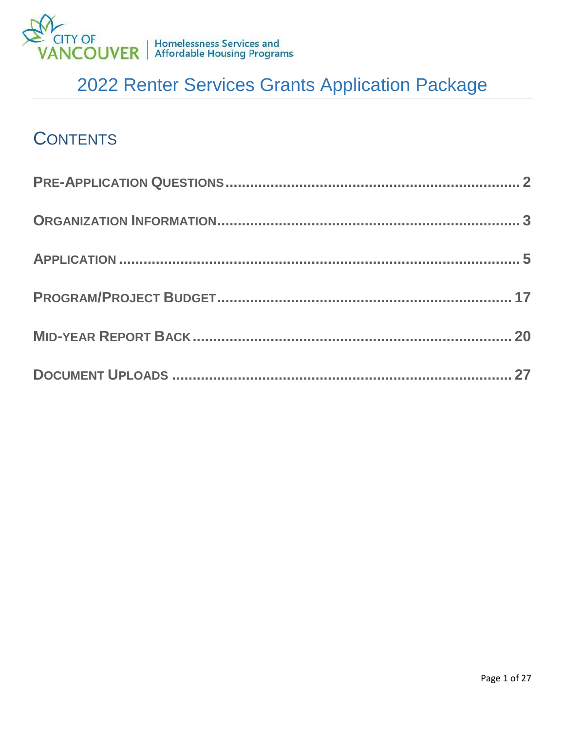

## **CONTENTS**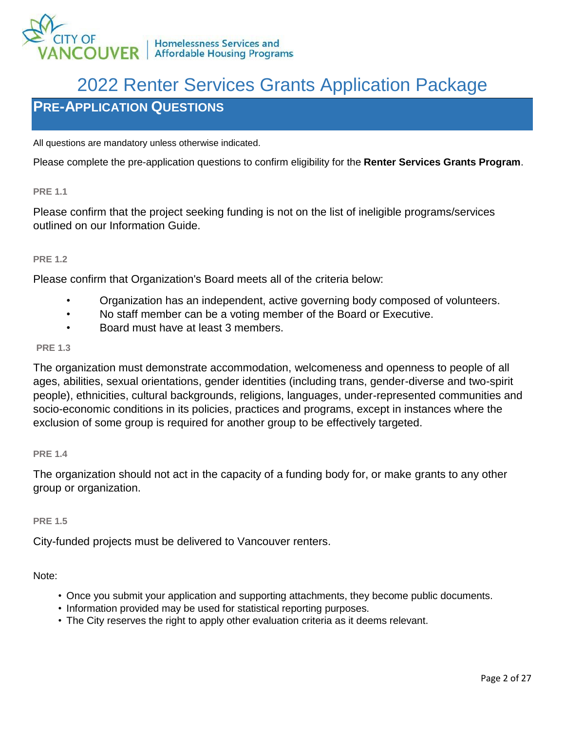

## <span id="page-1-0"></span>**PRE-APPLICATION QUESTIONS**

All questions are mandatory unless otherwise indicated.

Please complete the pre-application questions to confirm eligibility for the **Renter Services Grants Program**.

**PRE 1.1**

Please confirm that the project seeking funding is not on the list of ineligible programs/services outlined on our Information Guide.

#### **PRE 1.2**

Please confirm that Organization's Board meets all of the criteria below:

- Organization has an independent, active governing body composed of volunteers.
- No staff member can be a voting member of the Board or Executive.
- Board must have at least 3 members.

#### **PRE 1.3**

The organization must demonstrate accommodation, welcomeness and openness to people of all ages, abilities, sexual orientations, gender identities (including trans, gender-diverse and two-spirit people), ethnicities, cultural backgrounds, religions, languages, under-represented communities and socio-economic conditions in its policies, practices and programs, except in instances where the exclusion of some group is required for another group to be effectively targeted.

#### **PRE 1.4**

The organization should not act in the capacity of a funding body for, or make grants to any other group or organization.

#### **PRE 1.5**

City-funded projects must be delivered to Vancouver renters.

Note:

- Once you submit your application and supporting attachments, they become public documents.
- Information provided may be used for statistical reporting purposes.
- The City reserves the right to apply other evaluation criteria as it deems relevant.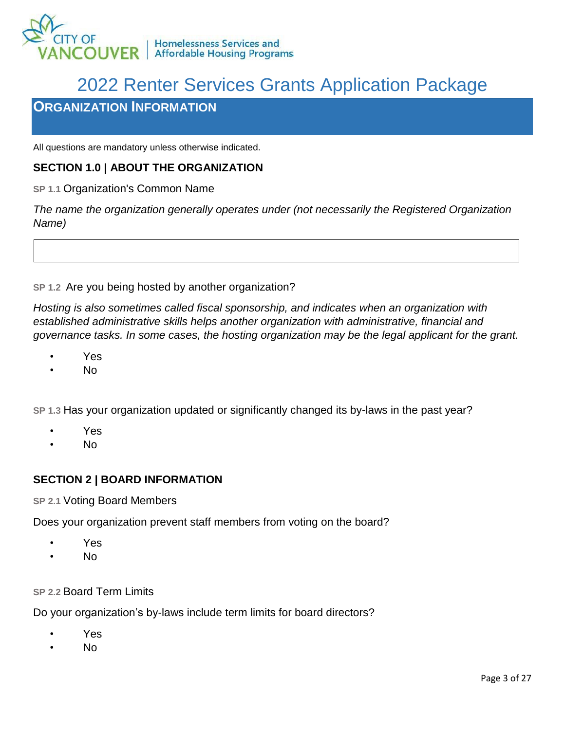

### <span id="page-2-0"></span>**ORGANIZATION INFORMATION**

All questions are mandatory unless otherwise indicated.

### **SECTION 1.0 | ABOUT THE ORGANIZATION**

**SP 1.1** Organization's Common Name

*The name the organization generally operates under (not necessarily the Registered Organization Name)*

**SP 1.2** Are you being hosted by another organization?

*Hosting is also sometimes called fiscal sponsorship, and indicates when an organization with established administrative skills helps another organization with administrative, financial and governance tasks. In some cases, the hosting organization may be the legal applicant for the grant.*

- Yes
- No

**SP 1.3** Has your organization updated or significantly changed its by-laws in the past year?

- Yes
- No

### **SECTION 2 | BOARD INFORMATION**

### **SP 2.1** Voting Board Members

Does your organization prevent staff members from voting on the board?

- Yes
- No

### **SP 2.2** Board Term Limits

Do your organization's by-laws include term limits for board directors?

- Yes
- No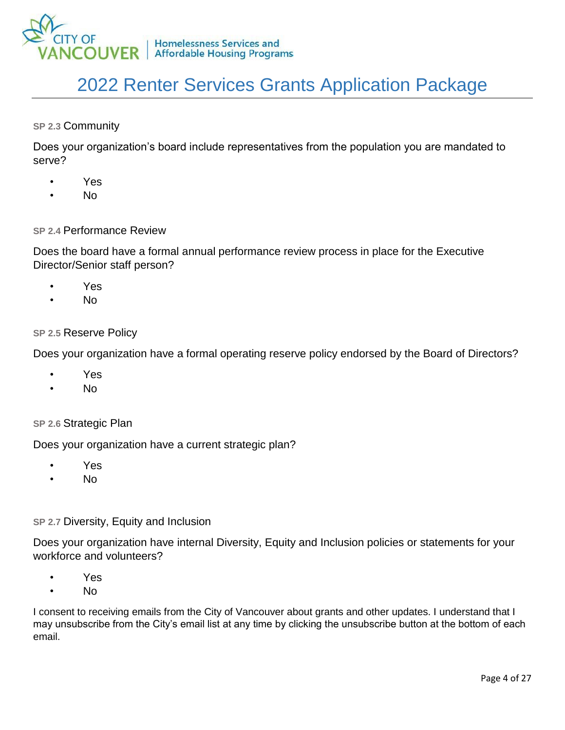

**SP 2.3** Community

Does your organization's board include representatives from the population you are mandated to serve?

- Yes
- No

#### **SP 2.4** Performance Review

Does the board have a formal annual performance review process in place for the Executive Director/Senior staff person?

- Yes
- No

#### **SP 2.5** Reserve Policy

Does your organization have a formal operating reserve policy endorsed by the Board of Directors?

- Yes
- No

#### **SP 2.6** Strategic Plan

Does your organization have a current strategic plan?

- Yes
- No

#### **SP 2.7** Diversity, Equity and Inclusion

Does your organization have internal Diversity, Equity and Inclusion policies or statements for your workforce and volunteers?

- Yes
- No

I consent to receiving emails from the City of Vancouver about grants and other updates. I understand that I may unsubscribe from the City's email list at any time by clicking the unsubscribe button at the bottom of each email.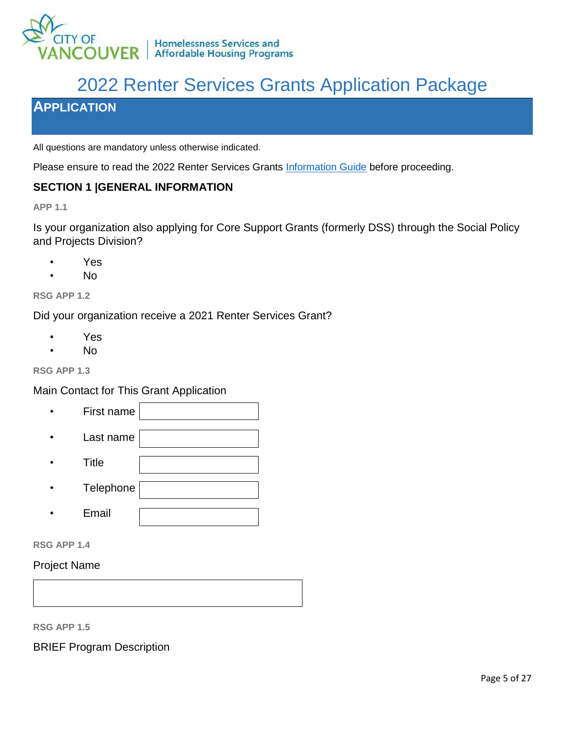

### <span id="page-4-0"></span>**APPLICATION**

All questions are mandatory unless otherwise indicated.

Please ensure to read the 2022 Renter Services Grants [Information Guide](https://vancouver.ca/files/cov/2022-renter-services-grants-information-guide.pdf) before proceeding.

### **SECTION 1 |GENERAL INFORMATION**

**APP 1.1**

Is your organization also applying for Core Support Grants (formerly DSS) through the Social Policy and Projects Division?

- Yes
- No

**RSG APP 1.2**

Did your organization receive a 2021 Renter Services Grant?

- Yes
- No

#### **RSG APP 1.3**

Main Contact for This Grant Application

- First name
- Last name
- Title
- Telephone
- Email
- **RSG APP 1.4**

### Project Name

**RSG APP 1.5**

BRIEF Program Description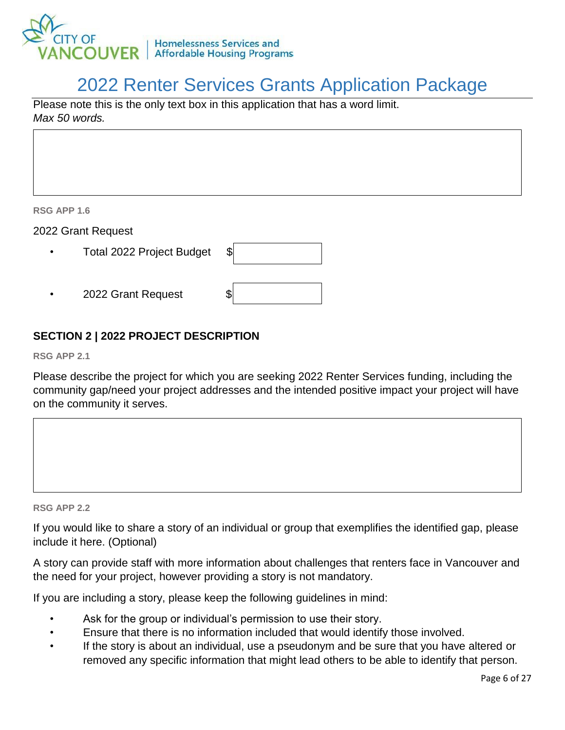

Please note this is the only text box in this application that has a word limit. *Max 50 words.*

**RSG APP 1.6**

2022 Grant Request

- Total 2022 Project Budget \$
- 2022 Grant Request

### **SECTION 2 | 2022 PROJECT DESCRIPTION**

**RSG APP 2.1**

Please describe the project for which you are seeking 2022 Renter Services funding, including the community gap/need your project addresses and the intended positive impact your project will have on the community it serves.



**RSG APP 2.2** 

If you would like to share a story of an individual or group that exemplifies the identified gap, please include it here. (Optional)

A story can provide staff with more information about challenges that renters face in Vancouver and the need for your project, however providing a story is not mandatory.

If you are including a story, please keep the following guidelines in mind:

- Ask for the group or individual's permission to use their story.
- Ensure that there is no information included that would identify those involved.
- If the story is about an individual, use a pseudonym and be sure that you have altered or removed any specific information that might lead others to be able to identify that person.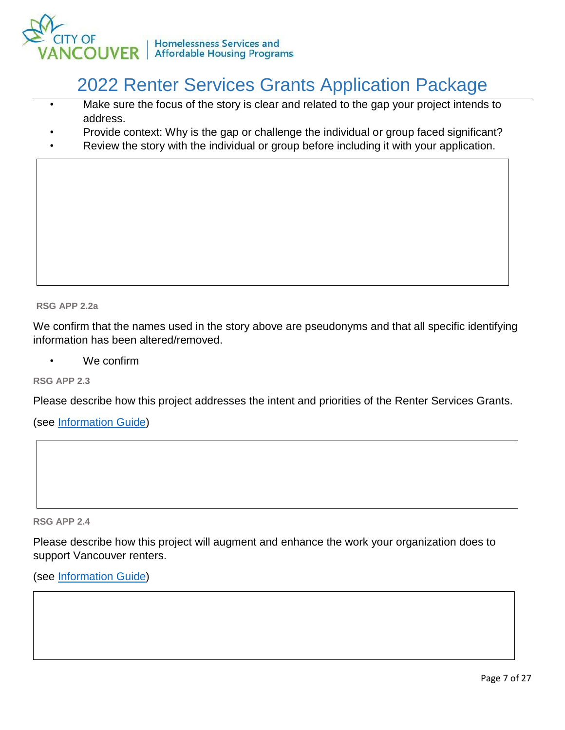

- Make sure the focus of the story is clear and related to the gap your project intends to address.
- Provide context: Why is the gap or challenge the individual or group faced significant?
- Review the story with the individual or group before including it with your application.

**RSG APP 2.2a** 

We confirm that the names used in the story above are pseudonyms and that all specific identifying information has been altered/removed.

We confirm

**RSG APP 2.3**

Please describe how this project addresses the intent and priorities of the Renter Services Grants.

(see [Information Guide\)](https://vancouver.ca/files/cov/2022-renter-services-grants-information-guide.pdf)

**RSG APP 2.4** 

Application

web browser.

Please describe how this project will augment and enhance the work your organization does to support Vancouver renters.

To go back in the form use the "Previous" button at the bottom of the page. Do not go back in your

(see [Information](https://vancouver.ca/files/cov/2022-renter-services-grants-information-guide.pdf) Guide)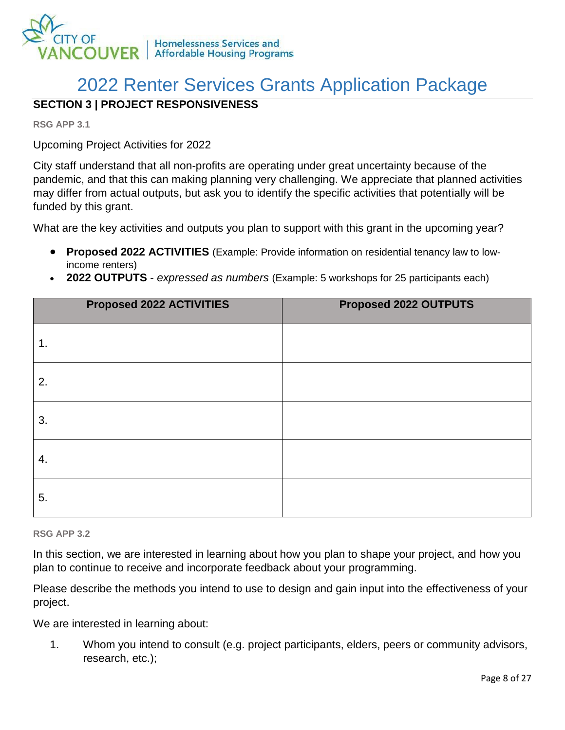

### **SECTION 3 | PROJECT RESPONSIVENESS**

**RSG APP 3.1** 

Upcoming Project Activities for 2022

City staff understand that all non-profits are operating under great uncertainty because of the pandemic, and that this can making planning very challenging. We appreciate that planned activities may differ from actual outputs, but ask you to identify the specific activities that potentially will be funded by this grant.

What are the key activities and outputs you plan to support with this grant in the upcoming year?

- **Proposed 2022 ACTIVITIES** (Example: Provide information on residential tenancy law to lowincome renters)
- **2022 OUTPUTS** *expressed as numbers* (Example: 5 workshops for 25 participants each)

| Proposed 2022 ACTIVITIES | Proposed 2022 OUTPUTS |
|--------------------------|-----------------------|
| 1.                       |                       |
| 2.                       |                       |
| 3.                       |                       |
| 4.                       |                       |
| 5.                       |                       |

**RSG APP 3.2**

In this section, we are interested in learning about how you plan to shape your project, and how you plan to continue to receive and incorporate feedback about your programming.

Please describe the methods you intend to use to design and gain input into the effectiveness of your project.

We are interested in learning about:

1. Whom you intend to consult (e.g. project participants, elders, peers or community advisors, research, etc.);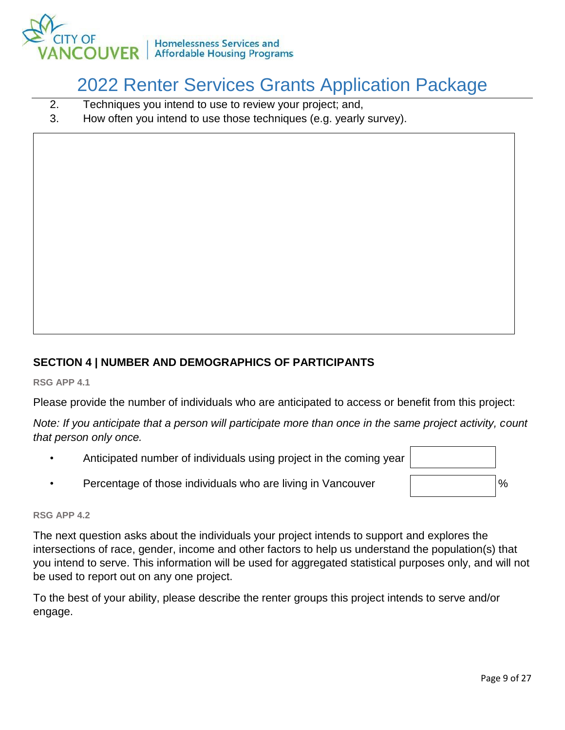

- 2. Techniques you intend to use to review your project; and,
- 3. How often you intend to use those techniques (e.g. yearly survey).

### **SECTION 4 | NUMBER AND DEMOGRAPHICS OF PARTICIPANTS**

**RSG APP 4.1**

Please provide the number of individuals who are anticipated to access or benefit from this project:

*Note: If you anticipate that a person will participate more than once in the same project activity, count that person only once.*

- Anticipated number of individuals using project in the coming year
- Percentage of those individuals who are living in Vancouver  $\vert$   $\vert$   $\sim$   $\vert$ %



#### **RSG APP 4.2**

The next question asks about the individuals your project intends to support and explores the intersections of race, gender, income and other factors to help us understand the population(s) that you intend to serve. This information will be used for aggregated statistical purposes only, and will not be used to report out on any one project.

To the best of your ability, please describe the renter groups this project intends to serve and/or engage.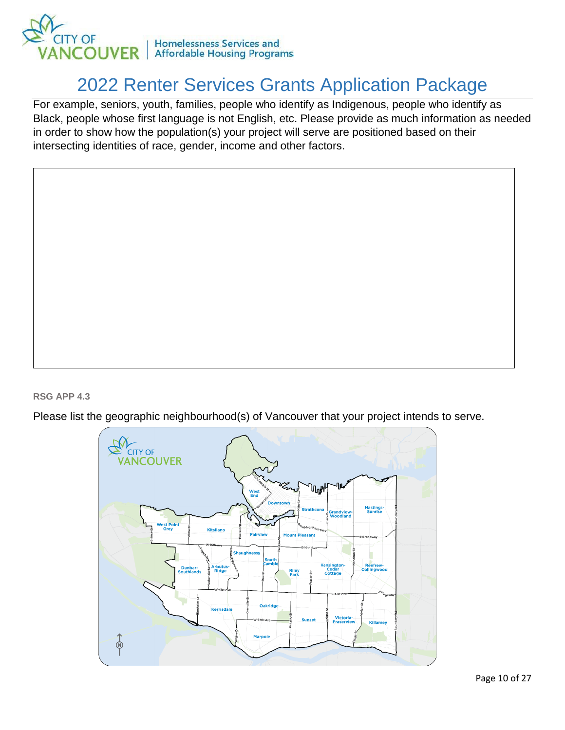

For example, seniors, youth, families, people who identify as Indigenous, people who identify as Black, people whose first language is not English, etc. Please provide as much information as needed in order to show how the population(s) your project will serve are positioned based on their intersecting identities of race, gender, income and other factors.

#### **RSG APP 4.3**

Please list the geographic neighbourhood(s) of Vancouver that your project intends to serve.

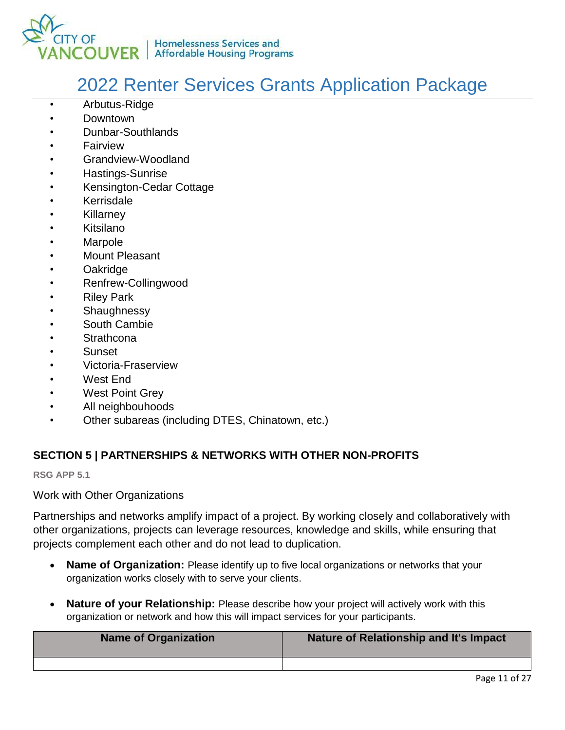

- Arbutus-Ridge
- Downtown
- Dunbar-Southlands
- **Fairview**
- Grandview-Woodland
- Hastings-Sunrise
- Kensington-Cedar Cottage
- **Kerrisdale**
- **Killarney**
- Kitsilano
- Marpole
- Mount Pleasant
- Oakridge
- Renfrew-Collingwood
- **Riley Park**
- **Shaughnessy**
- South Cambie
- **Strathcona**
- **Sunset**
- Victoria-Fraserview
- West End
- West Point Grey
- All neighbouhoods
- Other subareas (including DTES, Chinatown, etc.)

### **SECTION 5 | PARTNERSHIPS & NETWORKS WITH OTHER NON-PROFITS**

**RSG APP 5.1**

Work with Other Organizations

Partnerships and networks amplify impact of a project. By working closely and collaboratively with other organizations, projects can leverage resources, knowledge and skills, while ensuring that projects complement each other and do not lead to duplication.

- **Name of Organization:** Please identify up to five local organizations or networks that your organization works closely with to serve your clients.
- **Nature of your Relationship:** Please describe how your project will actively work with this organization or network and how this will impact services for your participants.

| <b>Name of Organization</b> | Nature of Relationship and It's Impact |
|-----------------------------|----------------------------------------|
|                             |                                        |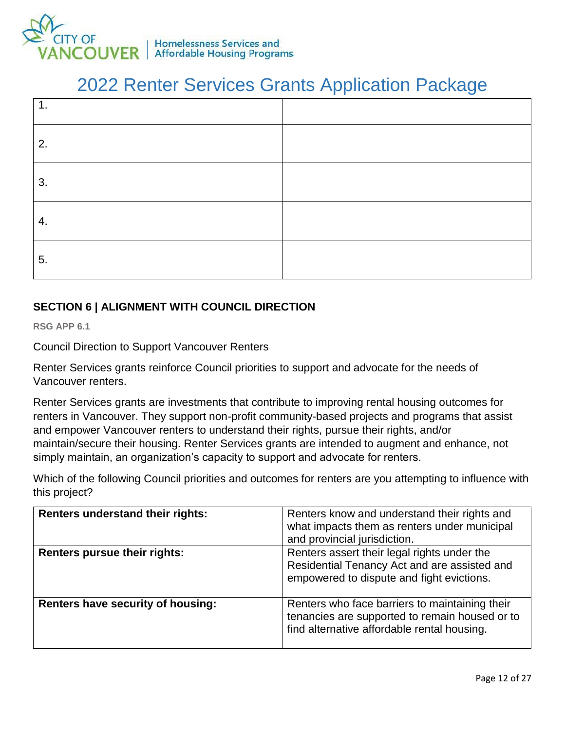

| 1. |  |
|----|--|
| 2. |  |
| 3. |  |
| 4. |  |
| 5. |  |

### **SECTION 6 | ALIGNMENT WITH COUNCIL DIRECTION**

**RSG APP 6.1** 

Council Direction to Support Vancouver Renters

Renter Services grants reinforce Council priorities to support and advocate for the needs of Vancouver renters.

Renter Services grants are investments that contribute to improving rental housing outcomes for renters in Vancouver. They support non-profit community-based projects and programs that assist and empower Vancouver renters to understand their rights, pursue their rights, and/or maintain/secure their housing. Renter Services grants are intended to augment and enhance, not simply maintain, an organization's capacity to support and advocate for renters.

Which of the following Council priorities and outcomes for renters are you attempting to influence with this project?

| <b>Renters understand their rights:</b>  | Renters know and understand their rights and<br>what impacts them as renters under municipal<br>and provincial jurisdiction.                    |
|------------------------------------------|-------------------------------------------------------------------------------------------------------------------------------------------------|
| Renters pursue their rights:             | Renters assert their legal rights under the<br>Residential Tenancy Act and are assisted and<br>empowered to dispute and fight evictions.        |
| <b>Renters have security of housing:</b> | Renters who face barriers to maintaining their<br>tenancies are supported to remain housed or to<br>find alternative affordable rental housing. |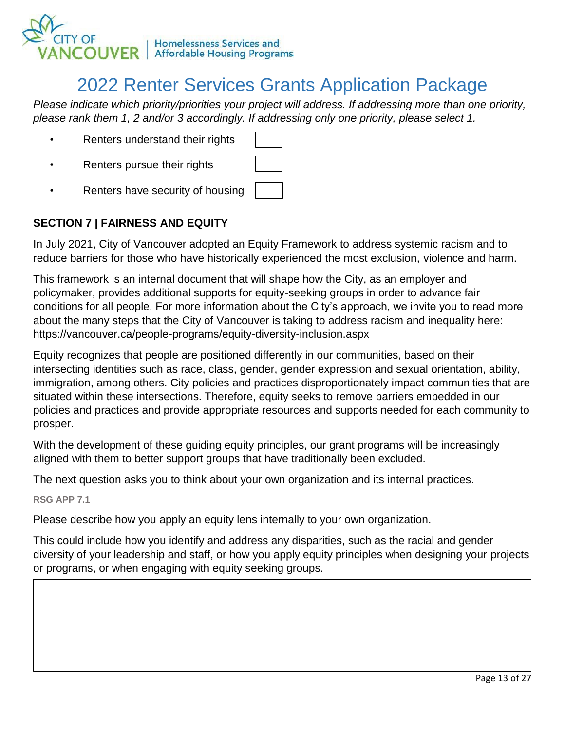

*Please indicate which priority/priorities your project will address. If addressing more than one priority, please rank them 1, 2 and/or 3 accordingly. If addressing only one priority, please select 1.* 

- Renters understand their rights
- Renters pursue their rights
- Renters have security of housing

### **SECTION 7 | FAIRNESS AND EQUITY**

In July 2021, City of Vancouver adopted an Equity Framework to address systemic racism and to reduce barriers for those who have historically experienced the most exclusion, violence and harm.

This framework is an internal document that will shape how the City, as an employer and policymaker, provides additional supports for equity-seeking groups in order to advance fair conditions for all people. For more information about the City's approach, we invite you to read more about the many steps that the City of Vancouver is taking to address racism and inequality here: https://vancouver.ca/people-programs/equity-diversity-inclusion.aspx

Equity recognizes that people are positioned differently in our communities, based on their intersecting identities such as race, class, gender, gender expression and sexual orientation, ability, immigration, among others. City policies and practices disproportionately impact communities that are situated within these intersections. Therefore, equity seeks to remove barriers embedded in our policies and practices and provide appropriate resources and supports needed for each community to prosper.

With the development of these guiding equity principles, our grant programs will be increasingly aligned with them to better support groups that have traditionally been excluded.

The next question asks you to think about your own organization and its internal practices.

**RSG APP 7.1** 

Please describe how you apply an equity lens internally to your own organization.

This could include how you identify and address any disparities, such as the racial and gender diversity of your leadership and staff, or how you apply equity principles when designing your projects or programs, or when engaging with equity seeking groups.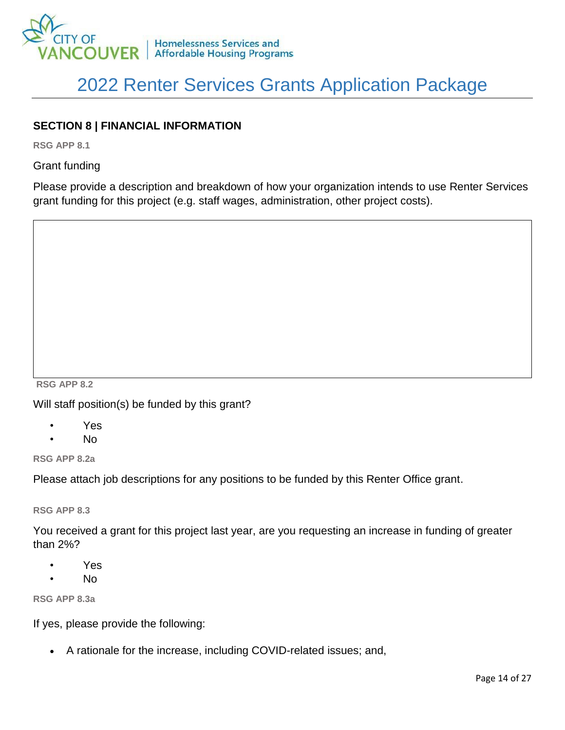

### **SECTION 8 | FINANCIAL INFORMATION**

**RSG APP 8.1** 

Grant funding

Please provide a description and breakdown of how your organization intends to use Renter Services grant funding for this project (e.g. staff wages, administration, other project costs).

**RSG APP 8.2** 

Will staff position(s) be funded by this grant?

- Yes
- No

**RSG APP 8.2a** 

Please attach job descriptions for any positions to be funded by this Renter Office grant.

**RSG APP 8.3**

You received a grant for this project last year, are you requesting an increase in funding of greater than 2%?

- Yes
- No

**RSG APP 8.3a**

If yes, please provide the following:

A rationale for the increase, including COVID-related issues; and,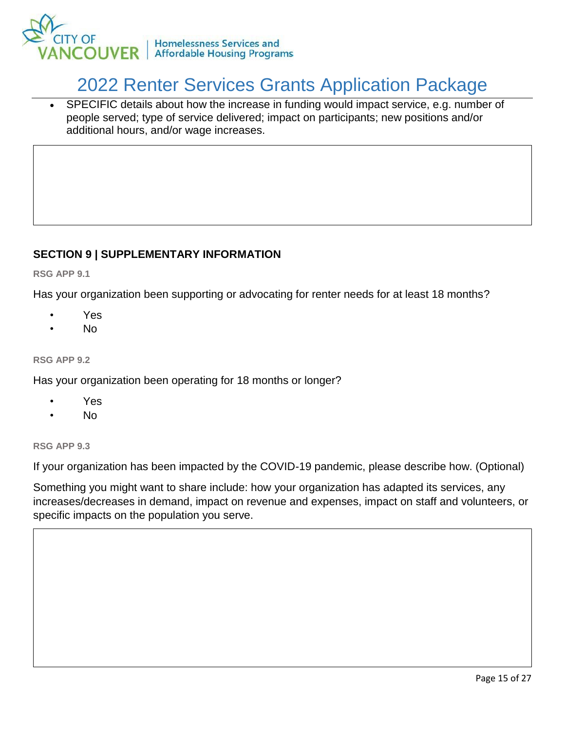

 SPECIFIC details about how the increase in funding would impact service, e.g. number of people served; type of service delivered; impact on participants; new positions and/or additional hours, and/or wage increases.

### **SECTION 9 | SUPPLEMENTARY INFORMATION**

**RSG APP 9.1** 

Has your organization been supporting or advocating for renter needs for at least 18 months?

- Yes
- No

#### **RSG APP 9.2**

Has your organization been operating for 18 months or longer?

- Yes
- No

#### **RSG APP 9.3**

If your organization has been impacted by the COVID-19 pandemic, please describe how. (Optional)

Something you might want to share include: how your organization has adapted its services, any increases/decreases in demand, impact on revenue and expenses, impact on staff and volunteers, or specific impacts on the population you serve.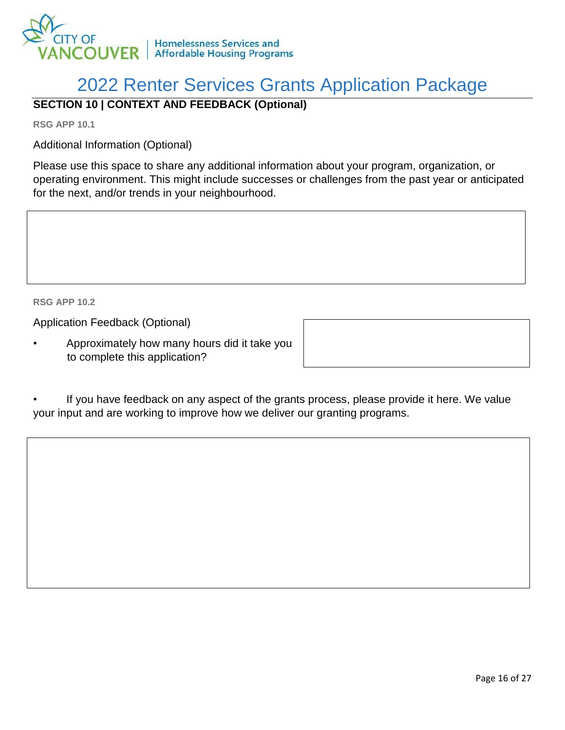

### **SECTION 10 | CONTEXT AND FEEDBACK (Optional)**

**RSG APP 10.1** 

Additional Information (Optional)

Please use this space to share any additional information about your program, organization, or operating environment. This might include successes or challenges from the past year or anticipated for the next, and/or trends in your neighbourhood.

**RSG APP 10.2** 

Application Feedback (Optional)

• Approximately how many hours did it take you to complete this application?

| If you have feedback on any aspect of the grants process, please provide it here. We value |
|--------------------------------------------------------------------------------------------|
| your input and are working to improve how we deliver our granting programs.                |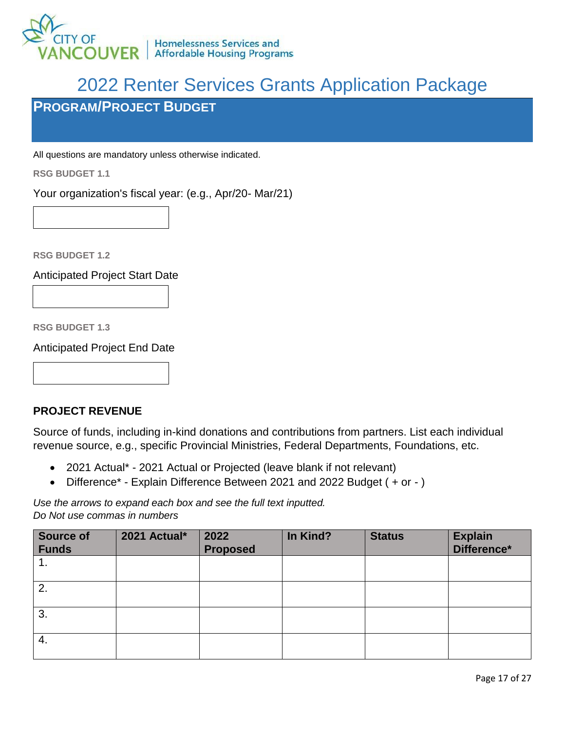

## <span id="page-16-0"></span>**PROGRAM/PROJECT BUDGET**

All questions are mandatory unless otherwise indicated.

**RSG BUDGET 1.1**

Your organization's fiscal year: (e.g., Apr/20- Mar/21)

**RSG BUDGET 1.2**

Anticipated Project Start Date

**RSG BUDGET 1.3**

Anticipated Project End Date

### **PROJECT REVENUE**

Source of funds, including in-kind donations and contributions from partners. List each individual revenue source, e.g., specific Provincial Ministries, Federal Departments, Foundations, etc.

- 2021 Actual\* 2021 Actual or Projected (leave blank if not relevant)
- Difference\* Explain Difference Between 2021 and 2022 Budget ( + or )

*Use the arrows to expand each box and see the full text inputted. Do Not use commas in numbers*

| Source of<br>Funds | 2021 Actual* | 2022<br><b>Proposed</b> | In Kind? | <b>Status</b> | <b>Explain</b><br>Difference* |
|--------------------|--------------|-------------------------|----------|---------------|-------------------------------|
| 1.                 |              |                         |          |               |                               |
| 2.                 |              |                         |          |               |                               |
| 3.                 |              |                         |          |               |                               |
| -4.                |              |                         |          |               |                               |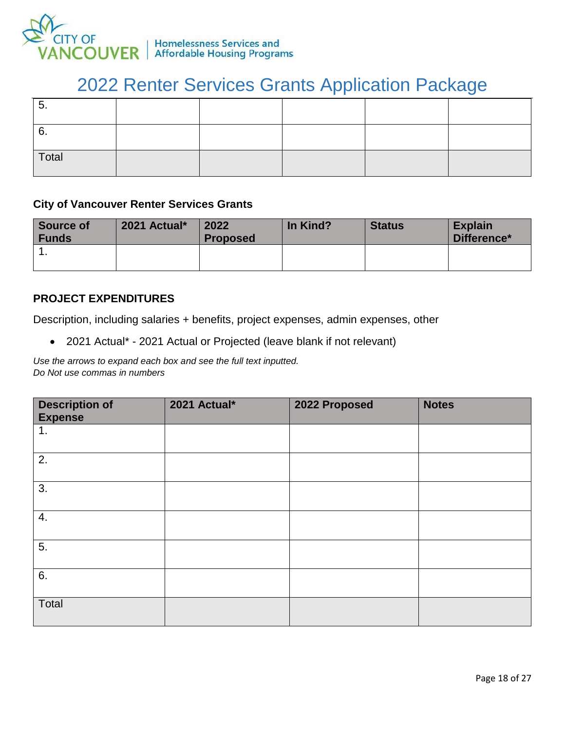

| ∽<br>ູບ. |  |  |  |
|----------|--|--|--|
| 6.       |  |  |  |
| Total    |  |  |  |

### **City of Vancouver Renter Services Grants**

| <b>Source of</b><br><b>Funds</b> | 2021 Actual* | 2022<br><b>Proposed</b> | In Kind? | <b>Status</b> | <b>Explain</b><br>Difference* |
|----------------------------------|--------------|-------------------------|----------|---------------|-------------------------------|
| .                                |              |                         |          |               |                               |

### **PROJECT EXPENDITURES**

Description, including salaries + benefits, project expenses, admin expenses, other

2021 Actual\* - 2021 Actual or Projected (leave blank if not relevant)

*Use the arrows to expand each box and see the full text inputted.* 

*Do Not use commas in numbers*

| <b>Description of</b><br><b>Expense</b> | 2021 Actual* | 2022 Proposed | <b>Notes</b> |
|-----------------------------------------|--------------|---------------|--------------|
| 1.                                      |              |               |              |
| 2.                                      |              |               |              |
| 3.                                      |              |               |              |
| 4.                                      |              |               |              |
| 5.                                      |              |               |              |
| 6.                                      |              |               |              |
| Total                                   |              |               |              |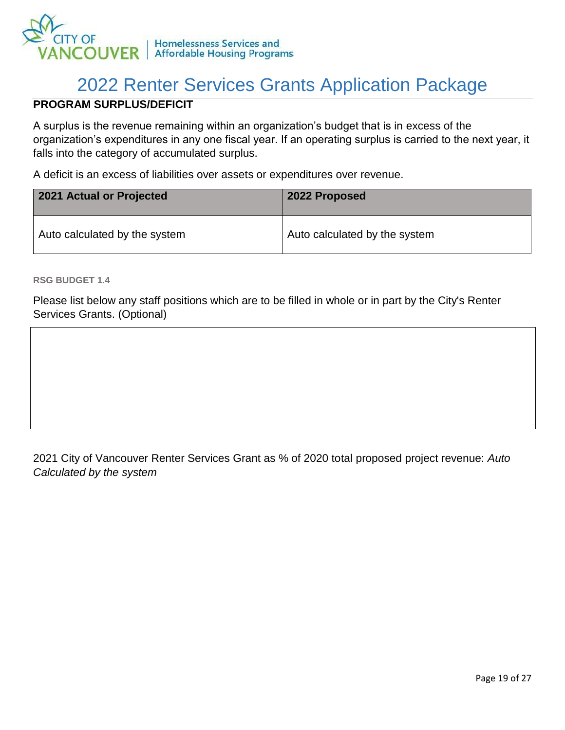

### **PROGRAM SURPLUS/DEFICIT**

A surplus is the revenue remaining within an organization's budget that is in excess of the organization's expenditures in any one fiscal year. If an operating surplus is carried to the next year, it falls into the category of accumulated surplus.

A deficit is an excess of liabilities over assets or expenditures over revenue.

| 2021 Actual or Projected      | 2022 Proposed                 |  |
|-------------------------------|-------------------------------|--|
| Auto calculated by the system | Auto calculated by the system |  |

**RSG BUDGET 1.4** 

Please list below any staff positions which are to be filled in whole or in part by the City's Renter Services Grants. (Optional)

### 2021 City of Vancouver Renter Services Grant as % of 2020 total proposed project revenue: *Auto Calculated by the system*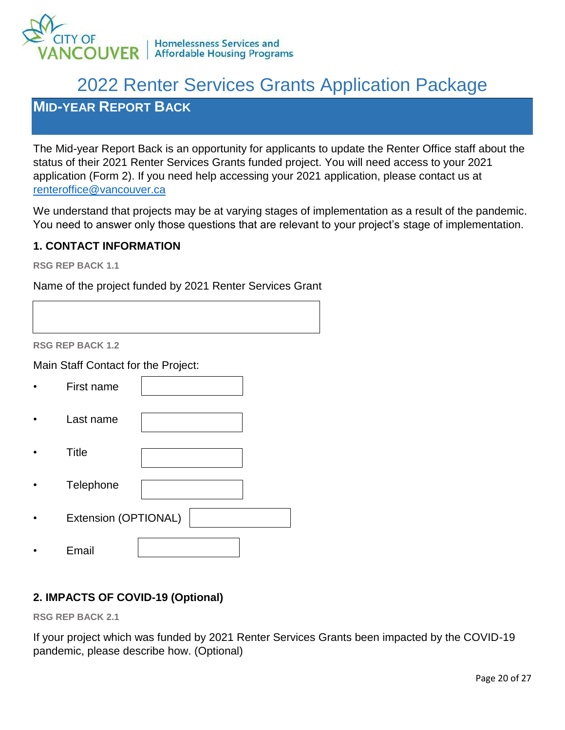

## <span id="page-19-0"></span>**MID-YEAR REPORT BACK**

The Mid-year Report Back is an opportunity for applicants to update the Renter Office staff about the status of their 2021 Renter Services Grants funded project. You will need access to your 2021 application (Form 2). If you need help accessing your 2021 application, please contact us at [renteroffice@vancouver.ca](mailto:renteroffice@vancouver.ca)

We understand that projects may be at varying stages of implementation as a result of the pandemic. You need to answer only those questions that are relevant to your project's stage of implementation.

### **1. CONTACT INFORMATION**

**RSG REP BACK 1.1**

Name of the project funded by 2021 Renter Services Grant

**RSG REP BACK 1.2**

Main Staff Contact for the Project:

| First name           |
|----------------------|
| Last name            |
| <b>Title</b>         |
| Telephone            |
| Extension (OPTIONAL) |
| Email                |

### **2. IMPACTS OF COVID-19 (Optional)**

**RSG REP BACK 2.1** 

If your project which was funded by 2021 Renter Services Grants been impacted by the COVID-19 pandemic, please describe how. (Optional)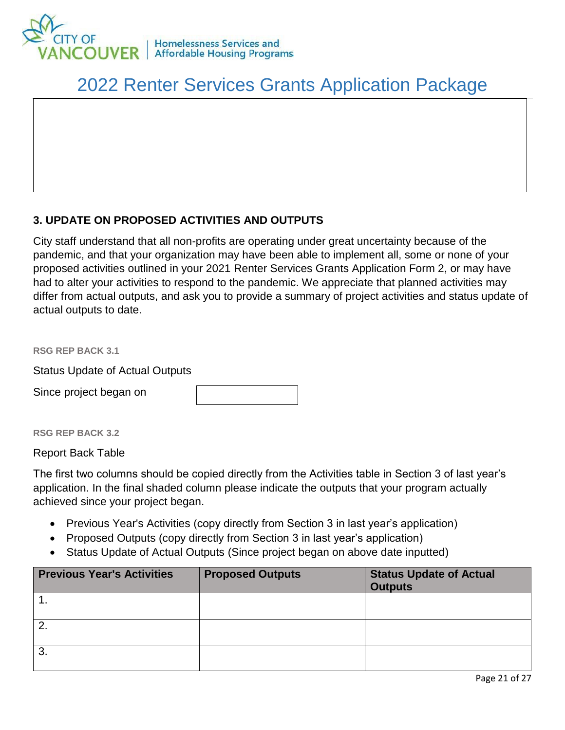

### **3. UPDATE ON PROPOSED ACTIVITIES AND OUTPUTS**

City staff understand that all non-profits are operating under great uncertainty because of the pandemic, and that your organization may have been able to implement all, some or none of your proposed activities outlined in your 2021 Renter Services Grants Application Form 2, or may have had to alter your activities to respond to the pandemic. We appreciate that planned activities may differ from actual outputs, and ask you to provide a summary of project activities and status update of actual outputs to date.

**RSG REP BACK 3.1** 

Status Update of Actual Outputs

Since project began on

#### **RSG REP BACK 3.2**

Report Back Table

The first two columns should be copied directly from the Activities table in Section 3 of last year's application. In the final shaded column please indicate the outputs that your program actually achieved since your project began.

- Previous Year's Activities (copy directly from Section 3 in last year's application)
- Proposed Outputs (copy directly from Section 3 in last year's application)
- Status Update of Actual Outputs (Since project began on above date inputted)

| <b>Previous Year's Activities</b> | <b>Proposed Outputs</b> | <b>Status Update of Actual</b><br><b>Outputs</b> |
|-----------------------------------|-------------------------|--------------------------------------------------|
|                                   |                         |                                                  |
| 2 <sub>1</sub>                    |                         |                                                  |
| 3                                 |                         |                                                  |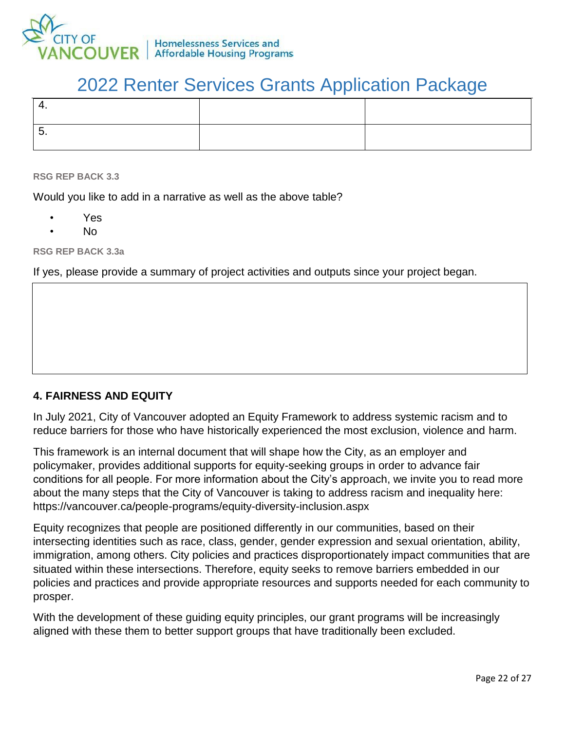

#### **RSG REP BACK 3.3**

Would you like to add in a narrative as well as the above table?

- Yes
- No

**RSG REP BACK 3.3a**

If yes, please provide a summary of project activities and outputs since your project began.

### **4. FAIRNESS AND EQUITY**

In July 2021, City of Vancouver adopted an Equity Framework to address systemic racism and to reduce barriers for those who have historically experienced the most exclusion, violence and harm.

This framework is an internal document that will shape how the City, as an employer and policymaker, provides additional supports for equity-seeking groups in order to advance fair conditions for all people. For more information about the City's approach, we invite you to read more about the many steps that the City of Vancouver is taking to address racism and inequality here: https://vancouver.ca/people-programs/equity-diversity-inclusion.aspx

Equity recognizes that people are positioned differently in our communities, based on their intersecting identities such as race, class, gender, gender expression and sexual orientation, ability, immigration, among others. City policies and practices disproportionately impact communities that are situated within these intersections. Therefore, equity seeks to remove barriers embedded in our policies and practices and provide appropriate resources and supports needed for each community to prosper.

With the development of these guiding equity principles, our grant programs will be increasingly aligned with these them to better support groups that have traditionally been excluded.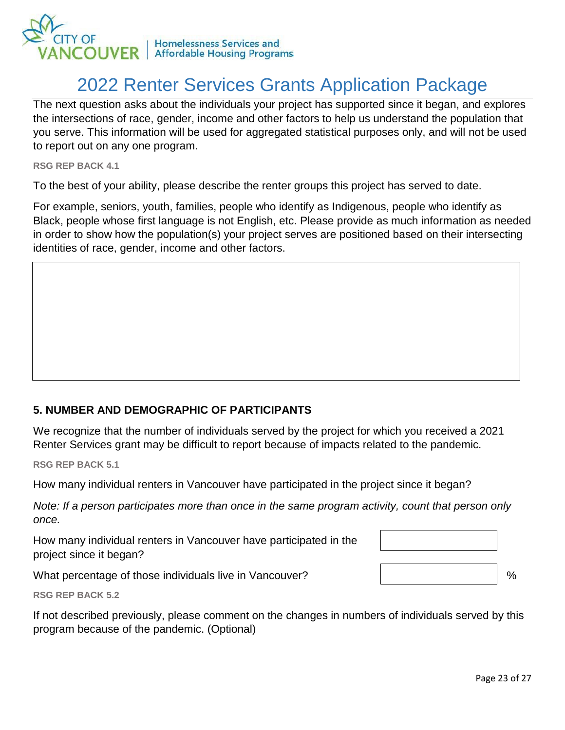

The next question asks about the individuals your project has supported since it began, and explores the intersections of race, gender, income and other factors to help us understand the population that you serve. This information will be used for aggregated statistical purposes only, and will not be used to report out on any one program.

**RSG REP BACK 4.1**

To the best of your ability, please describe the renter groups this project has served to date.

For example, seniors, youth, families, people who identify as Indigenous, people who identify as Black, people whose first language is not English, etc. Please provide as much information as needed in order to show how the population(s) your project serves are positioned based on their intersecting identities of race, gender, income and other factors.

### **5. NUMBER AND DEMOGRAPHIC OF PARTICIPANTS**

We recognize that the number of individuals served by the project for which you received a 2021 Renter Services grant may be difficult to report because of impacts related to the pandemic.

**RSG REP BACK 5.1**

How many individual renters in Vancouver have participated in the project since it began?

*Note: If a person participates more than once in the same program activity, count that person only once.*

How many individual renters in Vancouver have participated in the project since it began?

What percentage of those individuals live in Vancouver?

**RSG REP BACK 5.2**

If not described previously, please comment on the changes in numbers of individuals served by this program because of the pandemic. (Optional)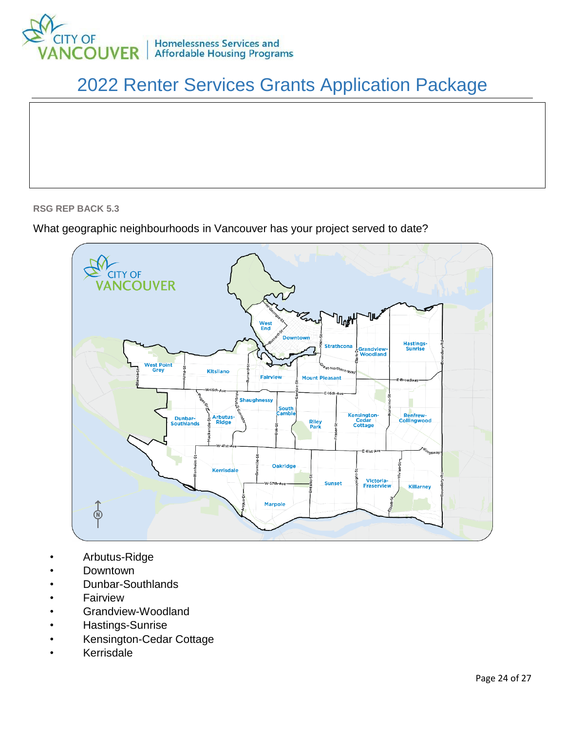

#### **RSG REP BACK 5.3**

### What geographic neighbourhoods in Vancouver has your project served to date?



- Arbutus-Ridge
- Downtown
- Dunbar-Southlands
- **Fairview**
- Grandview-Woodland
- Hastings-Sunrise
- Kensington-Cedar Cottage
- **Kerrisdale**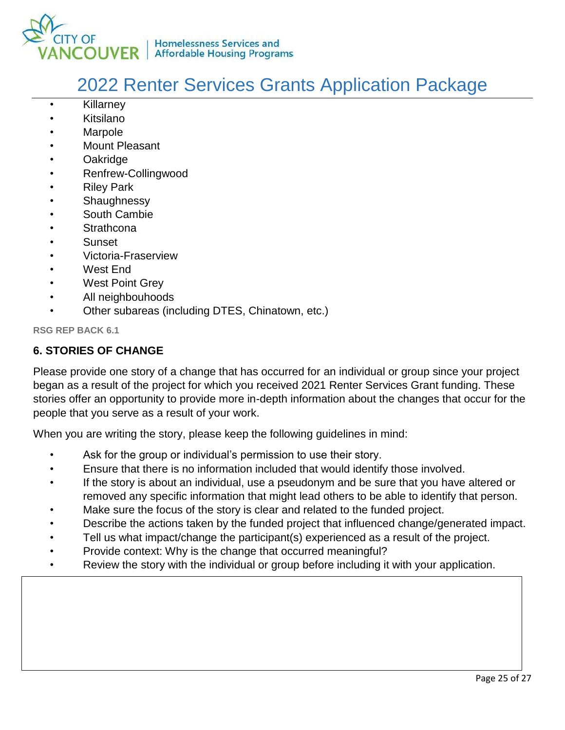

- Killarney
- Kitsilano
- **Marpole**
- Mount Pleasant
- Oakridge
- Renfrew-Collingwood
- **Riley Park**
- **Shaughnessy**
- South Cambie
- **Strathcona**
- **Sunset**
- Victoria-Fraserview
- West End
- West Point Grey
- All neighbouhoods
- Other subareas (including DTES, Chinatown, etc.)

**RSG REP BACK 6.1** 

### **6. STORIES OF CHANGE**

Please provide one story of a change that has occurred for an individual or group since your project began as a result of the project for which you received 2021 Renter Services Grant funding. These stories offer an opportunity to provide more in-depth information about the changes that occur for the people that you serve as a result of your work.

When you are writing the story, please keep the following guidelines in mind:

- Ask for the group or individual's permission to use their story.
- Ensure that there is no information included that would identify those involved.
- If the story is about an individual, use a pseudonym and be sure that you have altered or removed any specific information that might lead others to be able to identify that person.
- Make sure the focus of the story is clear and related to the funded project.
- Describe the actions taken by the funded project that influenced change/generated impact.
- Tell us what impact/change the participant(s) experienced as a result of the project.
- Provide context: Why is the change that occurred meaningful?
- Review the story with the individual or group before including it with your application.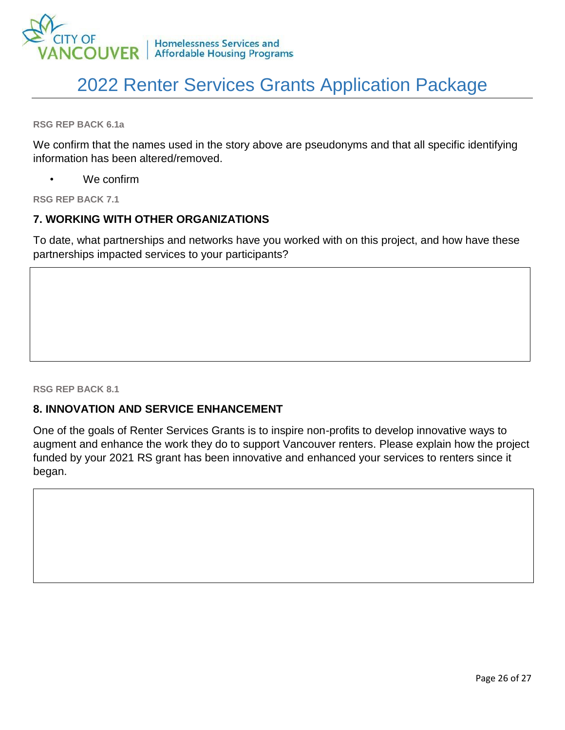

**RSG REP BACK 6.1a** 

We confirm that the names used in the story above are pseudonyms and that all specific identifying information has been altered/removed.

We confirm

**RSG REP BACK 7.1** 

### **7. WORKING WITH OTHER ORGANIZATIONS**

To date, what partnerships and networks have you worked with on this project, and how have these partnerships impacted services to your participants?

**RSG REP BACK 8.1** 

### **8. INNOVATION AND SERVICE ENHANCEMENT**

One of the goals of Renter Services Grants is to inspire non-profits to develop innovative ways to augment and enhance the work they do to support Vancouver renters. Please explain how the project funded by your 2021 RS grant has been innovative and enhanced your services to renters since it began.